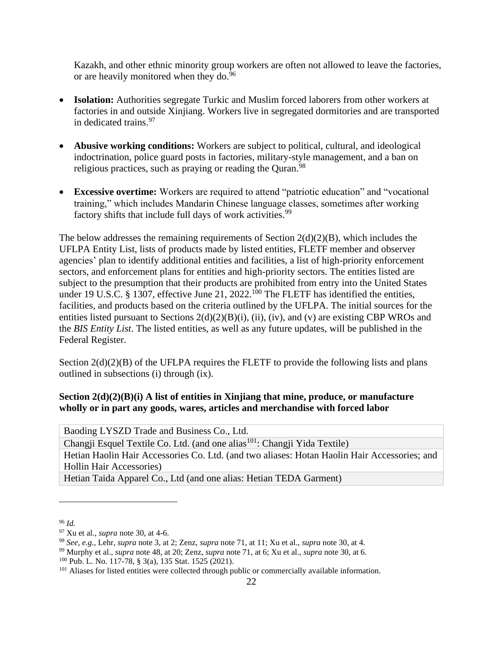Kazakh, and other ethnic minority group workers are often not allowed to leave the factories, or are heavily monitored when they do.<sup>96</sup>

- **Isolation:** Authorities segregate Turkic and Muslim forced laborers from other workers at factories in and outside Xinjiang. Workers live in segregated dormitories and are transported in dedicated trains.<sup>97</sup>
- **Abusive working conditions:** Workers are subject to political, cultural, and ideological indoctrination, police guard posts in factories, military-style management, and a ban on religious practices, such as praying or reading the Quran.  $98$
- **Excessive overtime:** Workers are required to attend "patriotic education" and "vocational training," which includes Mandarin Chinese language classes, sometimes after working factory shifts that include full days of work activities.<sup>99</sup>

The below addresses the remaining requirements of Section  $2(d)(2)(B)$ , which includes the UFLPA Entity List, lists of products made by listed entities, FLETF member and observer agencies' plan to identify additional entities and facilities, a list of high-priority enforcement sectors, and enforcement plans for entities and high-priority sectors. The entities listed are subject to the presumption that their products are prohibited from entry into the United States under 19 U.S.C. § 1307, effective June 21, 2022.<sup>100</sup> The FLETF has identified the entities, facilities, and products based on the criteria outlined by the UFLPA. The initial sources for the entities listed pursuant to Sections  $2(d)(2)(B)(i)$ , (ii), (iv), and (v) are existing CBP WROs and the *BIS Entity List*. The listed entities, as well as any future updates, will be published in the Federal Register.

Section  $2(d)(2)(B)$  of the UFLPA requires the FLETF to provide the following lists and plans outlined in subsections (i) through (ix).

# **Section 2(d)(2)(B)(i) A list of entities in Xinjiang that mine, produce, or manufacture wholly or in part any goods, wares, articles and merchandise with forced labor**

| Baoding LYSZD Trade and Business Co., Ltd.                                                   |
|----------------------------------------------------------------------------------------------|
| Changji Esquel Textile Co. Ltd. (and one alias <sup>101</sup> : Changji Yida Textile)        |
| Hetian Haolin Hair Accessories Co. Ltd. (and two aliases: Hotan Haolin Hair Accessories; and |
| <b>Hollin Hair Accessories</b> )                                                             |
| Hetian Taida Apparel Co., Ltd (and one alias: Hetian TEDA Garment)                           |

<sup>96</sup> *Id.*

<sup>97</sup> Xu et al., *supra* note 30, at 4-6.

<sup>98</sup> *See, e.g.*, Lehr, *supra* note 3, at 2; Zenz, *supra* note 71, at 11; Xu et al., *supra* note 30, at 4.

<sup>99</sup> Murphy et al., *supra* note 48, at 20; Zenz, *supra* note 71, at 6; Xu et al., *supra* note 30, at 6. <sup>100</sup> Pub. L. No. 117-78, § 3(a), 135 Stat. 1525 (2021).

<sup>&</sup>lt;sup>101</sup> Aliases for listed entities were collected through public or commercially available information.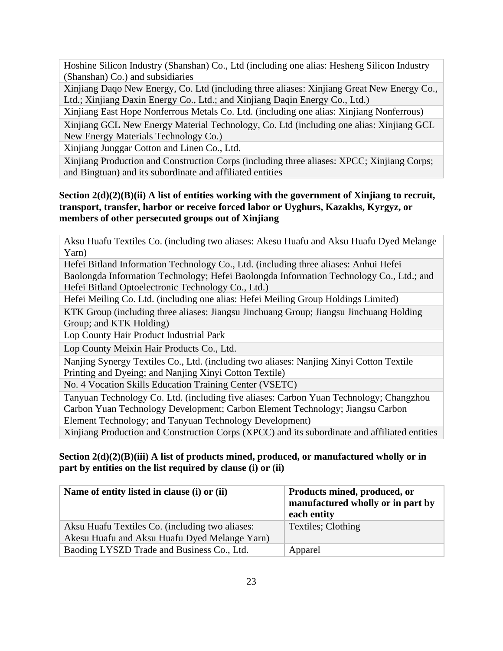Hoshine Silicon Industry (Shanshan) Co., Ltd (including one alias: Hesheng Silicon Industry (Shanshan) Co.) and subsidiaries

Xinjiang Daqo New Energy, Co. Ltd (including three aliases: Xinjiang Great New Energy Co., Ltd.; Xinjiang Daxin Energy Co., Ltd.; and Xinjiang Daqin Energy Co., Ltd.)

Xinjiang East Hope Nonferrous Metals Co. Ltd. (including one alias: Xinjiang Nonferrous)

Xinjiang GCL New Energy Material Technology, Co. Ltd (including one alias: Xinjiang GCL New Energy Materials Technology Co.)

Xinjiang Junggar Cotton and Linen Co., Ltd.

Xinjiang Production and Construction Corps (including three aliases: XPCC; Xinjiang Corps; and Bingtuan) and its subordinate and affiliated entities

## **Section 2(d)(2)(B)(ii) A list of entities working with the government of Xinjiang to recruit, transport, transfer, harbor or receive forced labor or Uyghurs, Kazakhs, Kyrgyz, or members of other persecuted groups out of Xinjiang**

Aksu Huafu Textiles Co. (including two aliases: Akesu Huafu and Aksu Huafu Dyed Melange Yarn)

Hefei Bitland Information Technology Co., Ltd. (including three aliases: Anhui Hefei Baolongda Information Technology; Hefei Baolongda Information Technology Co., Ltd.; and Hefei Bitland Optoelectronic Technology Co., Ltd.)

Hefei Meiling Co. Ltd. (including one alias: Hefei Meiling Group Holdings Limited)

KTK Group (including three aliases: Jiangsu Jinchuang Group; Jiangsu Jinchuang Holding Group; and KTK Holding)

Lop County Hair Product Industrial Park

Lop County Meixin Hair Products Co., Ltd.

Nanjing Synergy Textiles Co., Ltd. (including two aliases: Nanjing Xinyi Cotton Textile Printing and Dyeing; and Nanjing Xinyi Cotton Textile)

No. 4 Vocation Skills Education Training Center (VSETC)

Tanyuan Technology Co. Ltd. (including five aliases: Carbon Yuan Technology; Changzhou Carbon Yuan Technology Development; Carbon Element Technology; Jiangsu Carbon Element Technology; and Tanyuan Technology Development)

Xinjiang Production and Construction Corps (XPCC) and its subordinate and affiliated entities

## **Section 2(d)(2)(B)(iii) A list of products mined, produced, or manufactured wholly or in part by entities on the list required by clause (i) or (ii)**

| Name of entity listed in clause (i) or (ii)                                                      | Products mined, produced, or<br>manufactured wholly or in part by<br>each entity |
|--------------------------------------------------------------------------------------------------|----------------------------------------------------------------------------------|
| Aksu Huafu Textiles Co. (including two aliases:<br>Akesu Huafu and Aksu Huafu Dyed Melange Yarn) | Textiles; Clothing                                                               |
| Baoding LYSZD Trade and Business Co., Ltd.                                                       | Apparel                                                                          |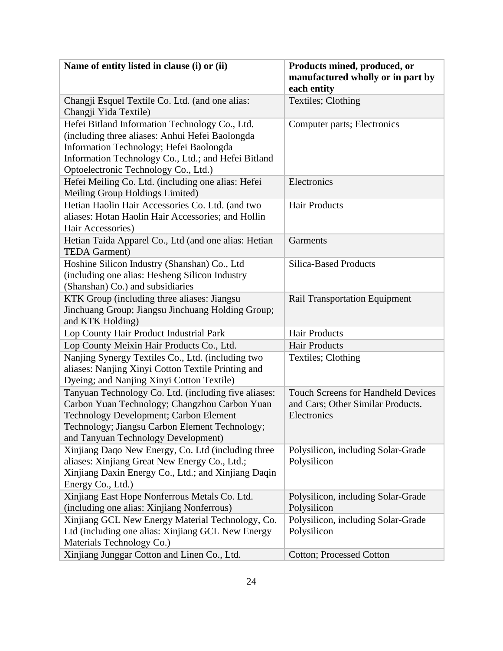| Name of entity listed in clause (i) or (ii)                                                                                                                                                                                                 | Products mined, produced, or<br>manufactured wholly or in part by<br>each entity              |
|---------------------------------------------------------------------------------------------------------------------------------------------------------------------------------------------------------------------------------------------|-----------------------------------------------------------------------------------------------|
| Changji Esquel Textile Co. Ltd. (and one alias:<br>Changji Yida Textile)                                                                                                                                                                    | Textiles; Clothing                                                                            |
| Hefei Bitland Information Technology Co., Ltd.<br>(including three aliases: Anhui Hefei Baolongda<br>Information Technology; Hefei Baolongda<br>Information Technology Co., Ltd.; and Hefei Bitland<br>Optoelectronic Technology Co., Ltd.) | Computer parts; Electronics                                                                   |
| Hefei Meiling Co. Ltd. (including one alias: Hefei<br>Meiling Group Holdings Limited)                                                                                                                                                       | Electronics                                                                                   |
| Hetian Haolin Hair Accessories Co. Ltd. (and two<br>aliases: Hotan Haolin Hair Accessories; and Hollin<br>Hair Accessories)                                                                                                                 | <b>Hair Products</b>                                                                          |
| Hetian Taida Apparel Co., Ltd (and one alias: Hetian<br><b>TEDA Garment</b> )                                                                                                                                                               | Garments                                                                                      |
| Hoshine Silicon Industry (Shanshan) Co., Ltd<br>(including one alias: Hesheng Silicon Industry<br>(Shanshan) Co.) and subsidiaries                                                                                                          | <b>Silica-Based Products</b>                                                                  |
| KTK Group (including three aliases: Jiangsu<br>Jinchuang Group; Jiangsu Jinchuang Holding Group;<br>and KTK Holding)                                                                                                                        | <b>Rail Transportation Equipment</b>                                                          |
| Lop County Hair Product Industrial Park                                                                                                                                                                                                     | <b>Hair Products</b>                                                                          |
| Lop County Meixin Hair Products Co., Ltd.                                                                                                                                                                                                   | <b>Hair Products</b>                                                                          |
| Nanjing Synergy Textiles Co., Ltd. (including two<br>aliases: Nanjing Xinyi Cotton Textile Printing and<br>Dyeing; and Nanjing Xinyi Cotton Textile)                                                                                        | Textiles; Clothing                                                                            |
| Tanyuan Technology Co. Ltd. (including five aliases:<br>Carbon Yuan Technology; Changzhou Carbon Yuan<br>Technology Development; Carbon Element<br>Technology; Jiangsu Carbon Element Technology;<br>and Tanyuan Technology Development)    | <b>Touch Screens for Handheld Devices</b><br>and Cars; Other Similar Products.<br>Electronics |
| Xinjiang Daqo New Energy, Co. Ltd (including three<br>aliases: Xinjiang Great New Energy Co., Ltd.;<br>Xinjiang Daxin Energy Co., Ltd.; and Xinjiang Daqin<br>Energy Co., Ltd.)                                                             | Polysilicon, including Solar-Grade<br>Polysilicon                                             |
| Xinjiang East Hope Nonferrous Metals Co. Ltd.<br>(including one alias: Xinjiang Nonferrous)                                                                                                                                                 | Polysilicon, including Solar-Grade<br>Polysilicon                                             |
| Xinjiang GCL New Energy Material Technology, Co.<br>Ltd (including one alias: Xinjiang GCL New Energy<br>Materials Technology Co.)                                                                                                          | Polysilicon, including Solar-Grade<br>Polysilicon                                             |
| Xinjiang Junggar Cotton and Linen Co., Ltd.                                                                                                                                                                                                 | <b>Cotton; Processed Cotton</b>                                                               |